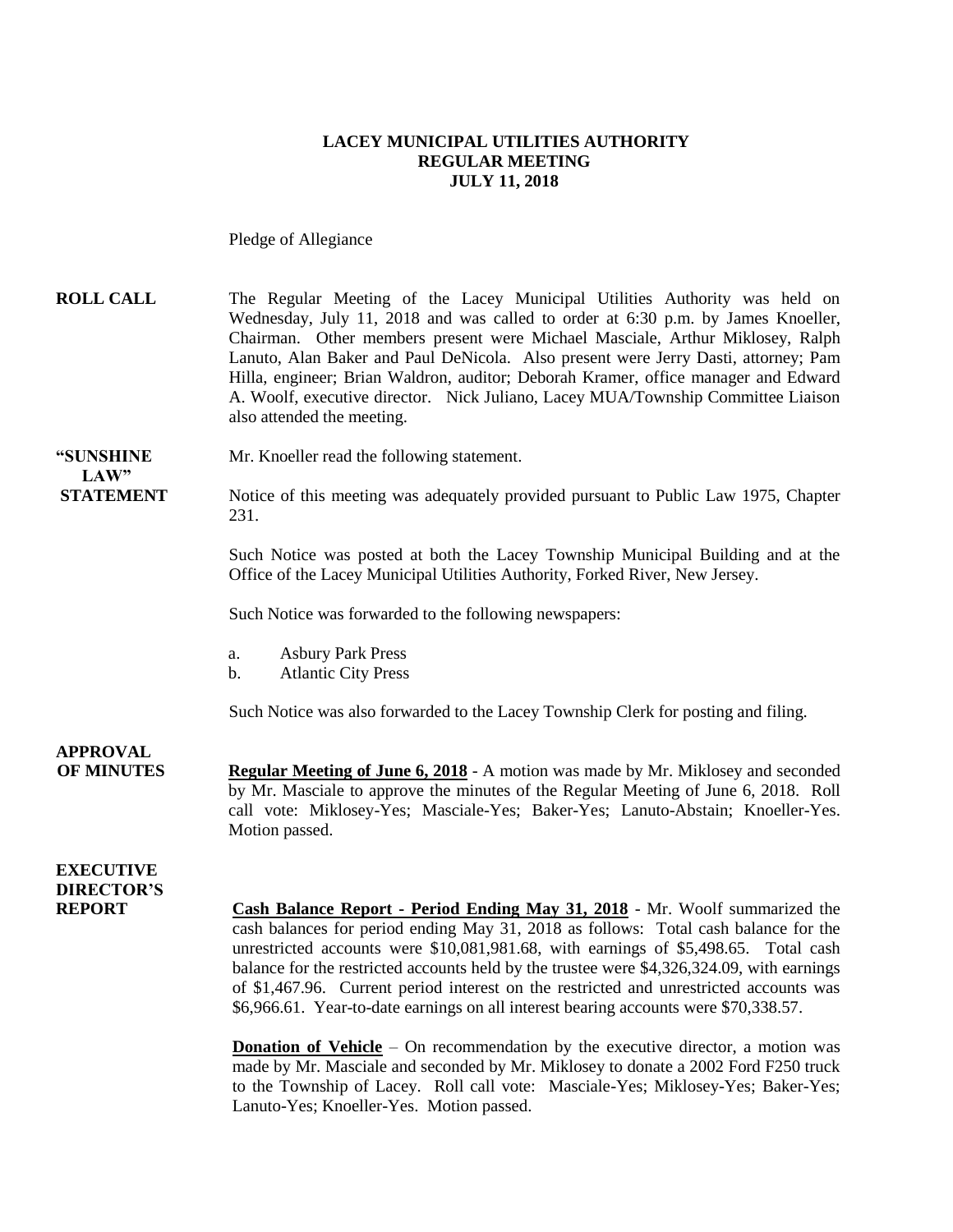#### **LACEY MUNICIPAL UTILITIES AUTHORITY REGULAR MEETING JULY 11, 2018**

Pledge of Allegiance

| <b>ROLL CALL</b> | The Regular Meeting of the Lacey Municipal Utilities Authority was held on         |
|------------------|------------------------------------------------------------------------------------|
|                  | Wednesday, July 11, 2018 and was called to order at 6:30 p.m. by James Knoeller,   |
|                  | Chairman. Other members present were Michael Masciale, Arthur Miklosey, Ralph      |
|                  | Lanuto, Alan Baker and Paul DeNicola. Also present were Jerry Dasti, attorney; Pam |
|                  | Hilla, engineer; Brian Waldron, auditor; Deborah Kramer, office manager and Edward |
|                  | A. Woolf, executive director. Nick Juliano, Lacey MUA/Township Committee Liaison   |
|                  | also attended the meeting.                                                         |

**"SUNSHINE** Mr. Knoeller read the following statement.

**STATEMENT** Notice of this meeting was adequately provided pursuant to Public Law 1975, Chapter 231.

> Such Notice was posted at both the Lacey Township Municipal Building and at the Office of the Lacey Municipal Utilities Authority, Forked River, New Jersey.

Such Notice was forwarded to the following newspapers:

- a. Asbury Park Press
- b. Atlantic City Press

Such Notice was also forwarded to the Lacey Township Clerk for posting and filing.

**APPROVAL**

 $LAW"$ 

**OF MINUTES Regular Meeting of June 6, 2018** - A motion was made by Mr. Miklosey and seconded by Mr. Masciale to approve the minutes of the Regular Meeting of June 6, 2018. Roll call vote: Miklosey-Yes; Masciale-Yes; Baker-Yes; Lanuto-Abstain; Knoeller-Yes. Motion passed.

### **EXECUTIVE DIRECTOR'S**

**REPORT Cash Balance Report - Period Ending May 31, 2018** - Mr. Woolf summarized the cash balances for period ending May 31, 2018 as follows: Total cash balance for the unrestricted accounts were \$10,081,981.68, with earnings of \$5,498.65. Total cash balance for the restricted accounts held by the trustee were \$4,326,324.09, with earnings of \$1,467.96. Current period interest on the restricted and unrestricted accounts was \$6,966.61. Year-to-date earnings on all interest bearing accounts were \$70,338.57.

> **Donation of Vehicle** – On recommendation by the executive director, a motion was made by Mr. Masciale and seconded by Mr. Miklosey to donate a 2002 Ford F250 truck to the Township of Lacey. Roll call vote: Masciale-Yes; Miklosey-Yes; Baker-Yes; Lanuto-Yes; Knoeller-Yes. Motion passed.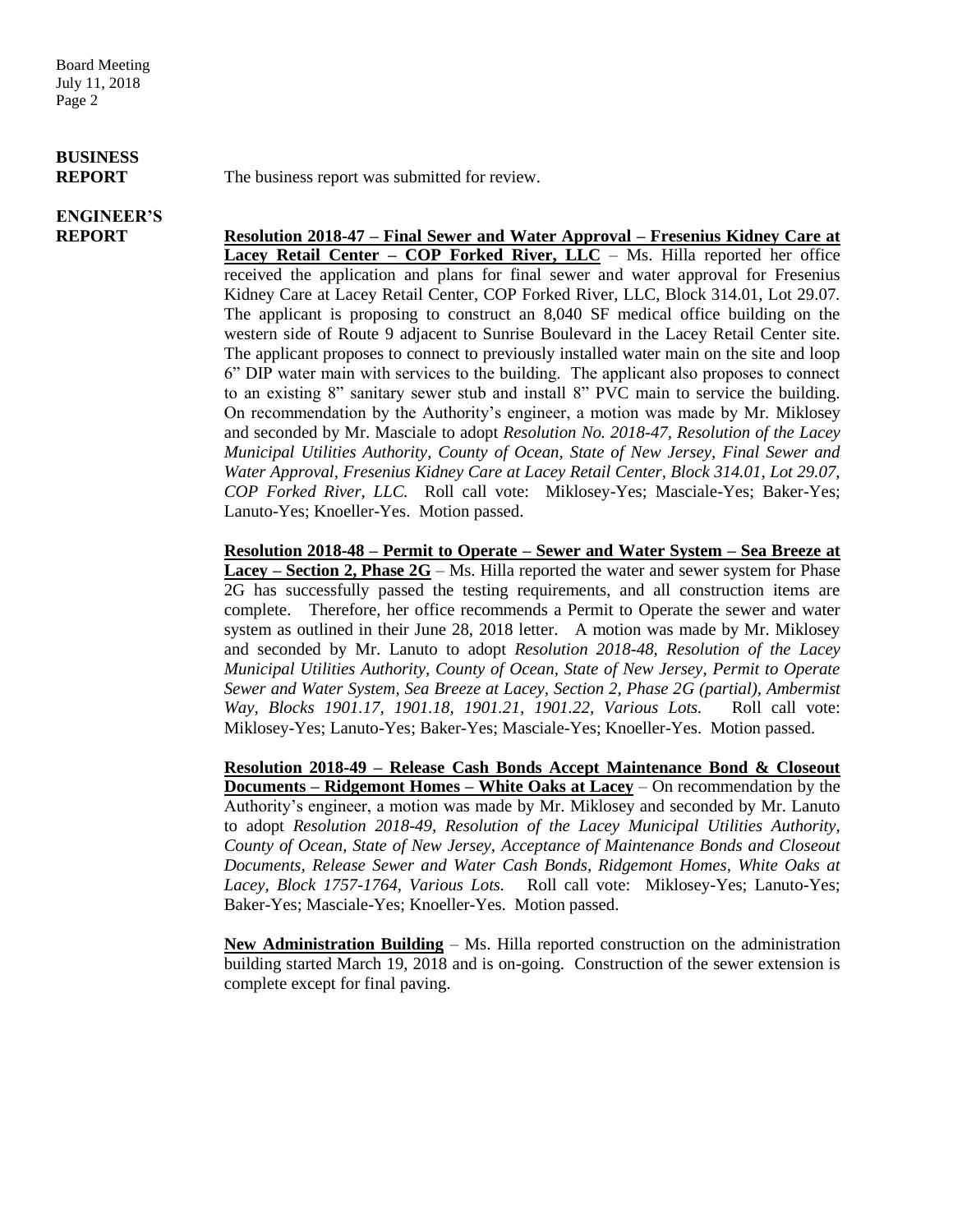Board Meeting July 11, 2018 Page 2

# **BUSINESS**

## **ENGINEER'S**

**REPORT** The business report was submitted for review.

**REPORT Resolution 2018-47 – Final Sewer and Water Approval – Fresenius Kidney Care at Lacey Retail Center – COP Forked River, LLC** – Ms. Hilla reported her office received the application and plans for final sewer and water approval for Fresenius Kidney Care at Lacey Retail Center, COP Forked River, LLC, Block 314.01, Lot 29.07. The applicant is proposing to construct an 8,040 SF medical office building on the western side of Route 9 adjacent to Sunrise Boulevard in the Lacey Retail Center site. The applicant proposes to connect to previously installed water main on the site and loop 6" DIP water main with services to the building. The applicant also proposes to connect to an existing 8" sanitary sewer stub and install 8" PVC main to service the building. On recommendation by the Authority's engineer, a motion was made by Mr. Miklosey and seconded by Mr. Masciale to adopt *Resolution No. 2018-47, Resolution of the Lacey Municipal Utilities Authority, County of Ocean, State of New Jersey, Final Sewer and Water Approval, Fresenius Kidney Care at Lacey Retail Center, Block 314.01, Lot 29.07, COP Forked River, LLC.* Roll call vote: Miklosey-Yes; Masciale-Yes; Baker-Yes; Lanuto-Yes; Knoeller-Yes. Motion passed.

> **Resolution 2018-48 – Permit to Operate – Sewer and Water System – Sea Breeze at Lacey – Section 2, Phase 2G** – Ms. Hilla reported the water and sewer system for Phase 2G has successfully passed the testing requirements, and all construction items are complete. Therefore, her office recommends a Permit to Operate the sewer and water system as outlined in their June 28, 2018 letter. A motion was made by Mr. Miklosey and seconded by Mr. Lanuto to adopt *Resolution 2018-48, Resolution of the Lacey Municipal Utilities Authority, County of Ocean, State of New Jersey, Permit to Operate Sewer and Water System, Sea Breeze at Lacey, Section 2, Phase 2G (partial), Ambermist Way, Blocks 1901.17, 1901.18, 1901.21, 1901.22, Various Lots.* Roll call vote: Miklosey-Yes; Lanuto-Yes; Baker-Yes; Masciale-Yes; Knoeller-Yes. Motion passed.

> **Resolution 2018-49 – Release Cash Bonds Accept Maintenance Bond & Closeout Documents – Ridgemont Homes – White Oaks at Lacey** – On recommendation by the Authority's engineer, a motion was made by Mr. Miklosey and seconded by Mr. Lanuto to adopt *Resolution 2018-49, Resolution of the Lacey Municipal Utilities Authority, County of Ocean, State of New Jersey, Acceptance of Maintenance Bonds and Closeout Documents, Release Sewer and Water Cash Bonds, Ridgemont Homes, White Oaks at Lacey, Block 1757-1764, Various Lots.* Roll call vote: Miklosey-Yes; Lanuto-Yes; Baker-Yes; Masciale-Yes; Knoeller-Yes. Motion passed.

> **New Administration Building** – Ms. Hilla reported construction on the administration building started March 19, 2018 and is on-going. Construction of the sewer extension is complete except for final paving.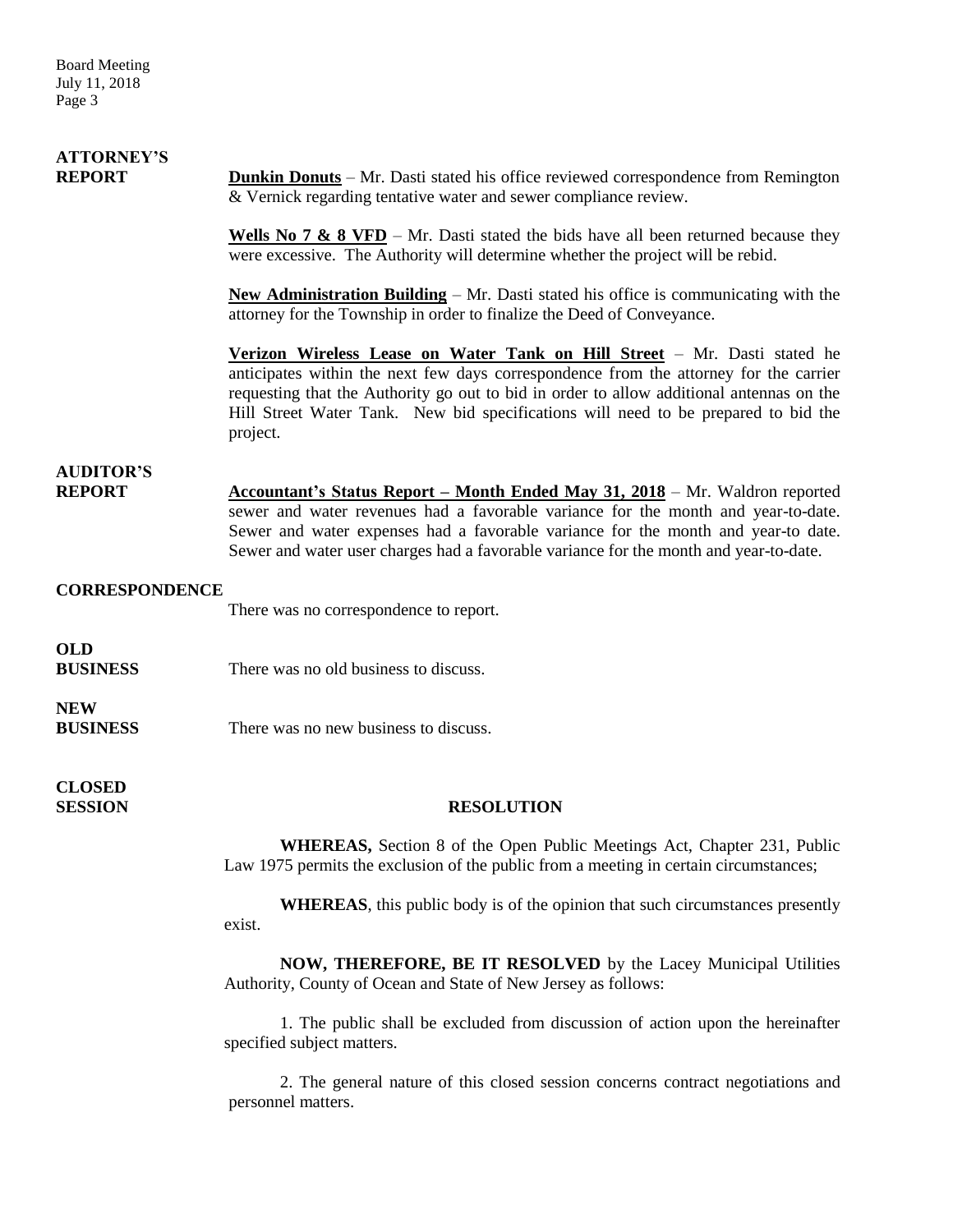Board Meeting July 11, 2018 Page 3

### **ATTORNEY'S REPORT Dunkin Donuts** – Mr. Dasti stated his office reviewed correspondence from Remington & Vernick regarding tentative water and sewer compliance review.

**Wells No 7 & 8 VFD** – Mr. Dasti stated the bids have all been returned because they were excessive. The Authority will determine whether the project will be rebid.

**New Administration Building** – Mr. Dasti stated his office is communicating with the attorney for the Township in order to finalize the Deed of Conveyance.

**Verizon Wireless Lease on Water Tank on Hill Street** – Mr. Dasti stated he anticipates within the next few days correspondence from the attorney for the carrier requesting that the Authority go out to bid in order to allow additional antennas on the Hill Street Water Tank. New bid specifications will need to be prepared to bid the project.

### **AUDITOR'S**

**REPORT** Accountant's Status Report – Month Ended May 31, 2018 – Mr. Waldron reported sewer and water revenues had a favorable variance for the month and year-to-date. Sewer and water expenses had a favorable variance for the month and year-to date. Sewer and water user charges had a favorable variance for the month and year-to-date.

#### **CORRESPONDENCE**

There was no correspondence to report.

**OLD**

**BUSINESS** There was no old business to discuss.

**NEW BUSINESS** There was no new business to discuss.

**CLOSED** 

#### **SESSION RESOLUTION**

**WHEREAS,** Section 8 of the Open Public Meetings Act, Chapter 231, Public Law 1975 permits the exclusion of the public from a meeting in certain circumstances;

**WHEREAS**, this public body is of the opinion that such circumstances presently exist.

**NOW, THEREFORE, BE IT RESOLVED** by the Lacey Municipal Utilities Authority, County of Ocean and State of New Jersey as follows:

1. The public shall be excluded from discussion of action upon the hereinafter specified subject matters.

2. The general nature of this closed session concerns contract negotiations and personnel matters.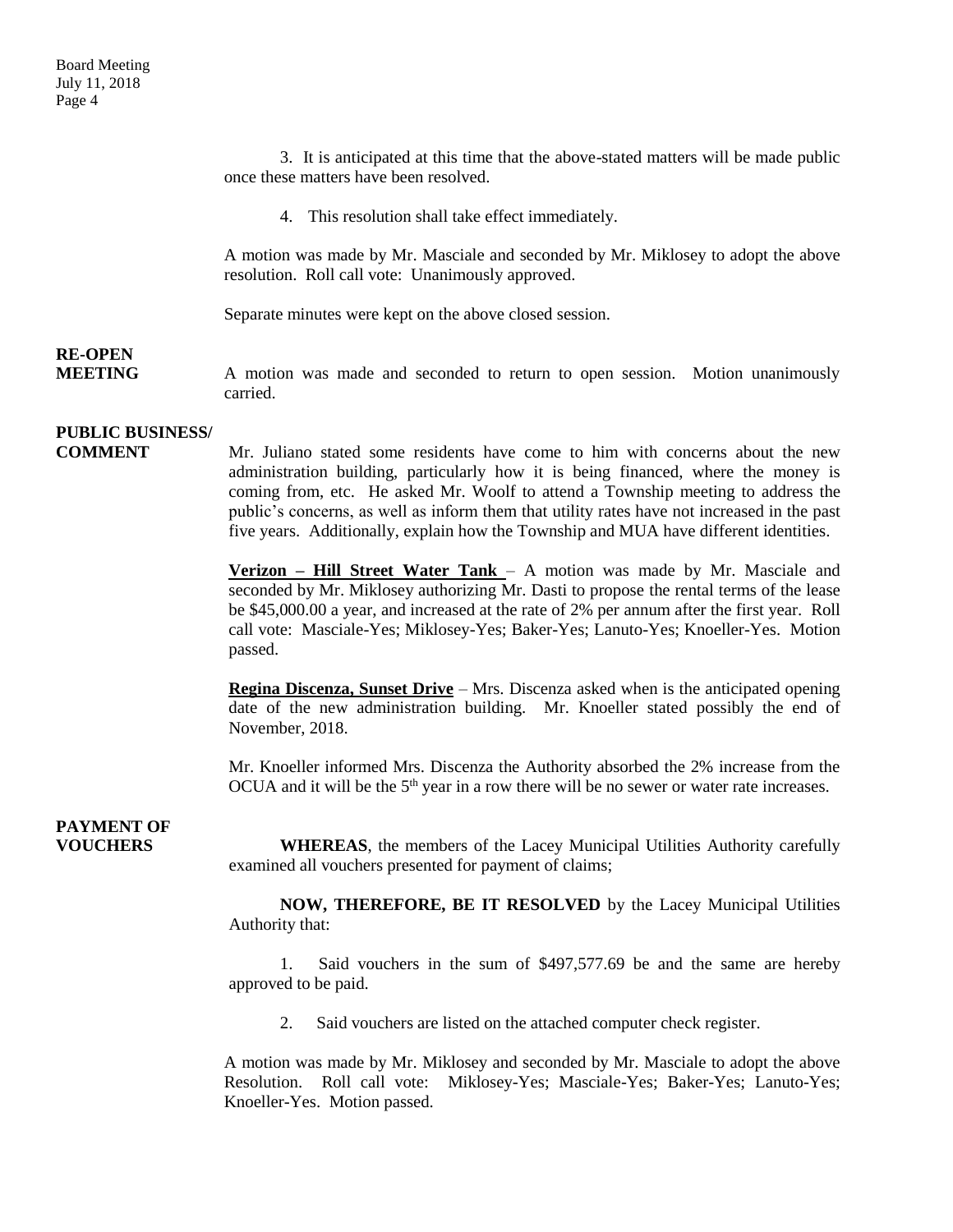3. It is anticipated at this time that the above-stated matters will be made public once these matters have been resolved.

4. This resolution shall take effect immediately.

A motion was made by Mr. Masciale and seconded by Mr. Miklosey to adopt the above resolution. Roll call vote: Unanimously approved.

Separate minutes were kept on the above closed session.

# **RE-OPEN**

**MEETING** A motion was made and seconded to return to open session. Motion unanimously carried.

### **PUBLIC BUSINESS/**

**COMMENT** Mr. Juliano stated some residents have come to him with concerns about the new administration building, particularly how it is being financed, where the money is coming from, etc. He asked Mr. Woolf to attend a Township meeting to address the public's concerns, as well as inform them that utility rates have not increased in the past five years. Additionally, explain how the Township and MUA have different identities.

> **Verizon – Hill Street Water Tank** – A motion was made by Mr. Masciale and seconded by Mr. Miklosey authorizing Mr. Dasti to propose the rental terms of the lease be \$45,000.00 a year, and increased at the rate of 2% per annum after the first year. Roll call vote: Masciale-Yes; Miklosey-Yes; Baker-Yes; Lanuto-Yes; Knoeller-Yes. Motion passed.

> **Regina Discenza, Sunset Drive** – Mrs. Discenza asked when is the anticipated opening date of the new administration building. Mr. Knoeller stated possibly the end of November, 2018.

> Mr. Knoeller informed Mrs. Discenza the Authority absorbed the 2% increase from the OCUA and it will be the  $5<sup>th</sup>$  year in a row there will be no sewer or water rate increases.

## **PAYMENT OF**

**VOUCHERS WHEREAS**, the members of the Lacey Municipal Utilities Authority carefully examined all vouchers presented for payment of claims;

> **NOW, THEREFORE, BE IT RESOLVED** by the Lacey Municipal Utilities Authority that:

> 1. Said vouchers in the sum of \$497,577.69 be and the same are hereby approved to be paid.

2. Said vouchers are listed on the attached computer check register.

A motion was made by Mr. Miklosey and seconded by Mr. Masciale to adopt the above Resolution. Roll call vote: Miklosey-Yes; Masciale-Yes; Baker-Yes; Lanuto-Yes; Knoeller-Yes. Motion passed.